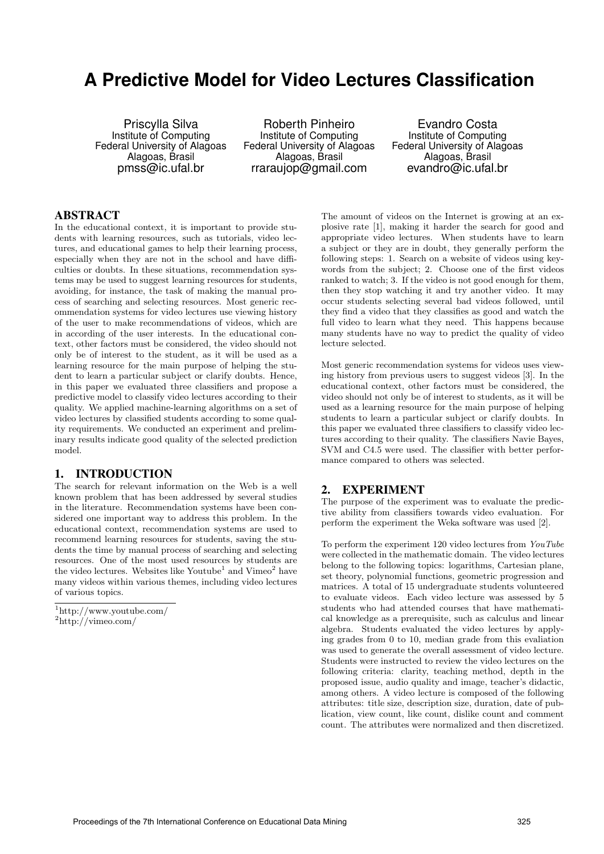# **A Predictive Model for Video Lectures Classification**

Priscylla Silva Institute of Computing Federal University of Alagoas Alagoas, Brasil pmss@ic.ufal.br

Roberth Pinheiro Institute of Computing Federal University of Alagoas Alagoas, Brasil rraraujop@gmail.com

Evandro Costa Institute of Computing Federal University of Alagoas Alagoas, Brasil evandro@ic.ufal.br

# ABSTRACT

In the educational context, it is important to provide students with learning resources, such as tutorials, video lectures, and educational games to help their learning process, especially when they are not in the school and have difficulties or doubts. In these situations, recommendation systems may be used to suggest learning resources for students, avoiding, for instance, the task of making the manual process of searching and selecting resources. Most generic recommendation systems for video lectures use viewing history of the user to make recommendations of videos, which are in according of the user interests. In the educational context, other factors must be considered, the video should not only be of interest to the student, as it will be used as a learning resource for the main purpose of helping the student to learn a particular subject or clarify doubts. Hence, in this paper we evaluated three classifiers and propose a predictive model to classify video lectures according to their quality. We applied machine-learning algorithms on a set of video lectures by classified students according to some quality requirements. We conducted an experiment and preliminary results indicate good quality of the selected prediction model.

## 1. INTRODUCTION

The search for relevant information on the Web is a well known problem that has been addressed by several studies in the literature. Recommendation systems have been considered one important way to address this problem. In the educational context, recommendation systems are used to recommend learning resources for students, saving the students the time by manual process of searching and selecting resources. One of the most used resources by students are the video lectures. Websites like Youtube<sup>1</sup> and Vimeo<sup>2</sup> have many videos within various themes, including video lectures of various topics.

The amount of videos on the Internet is growing at an explosive rate [1], making it harder the search for good and appropriate video lectures. When students have to learn a subject or they are in doubt, they generally perform the following steps: 1. Search on a website of videos using keywords from the subject; 2. Choose one of the first videos ranked to watch; 3. If the video is not good enough for them, then they stop watching it and try another video. It may occur students selecting several bad videos followed, until they find a video that they classifies as good and watch the full video to learn what they need. This happens because many students have no way to predict the quality of video lecture selected.

Most generic recommendation systems for videos uses viewing history from previous users to suggest videos [3]. In the educational context, other factors must be considered, the video should not only be of interest to students, as it will be used as a learning resource for the main purpose of helping students to learn a particular subject or clarify doubts. In this paper we evaluated three classifiers to classify video lectures according to their quality. The classifiers Navie Bayes, SVM and C4.5 were used. The classifier with better performance compared to others was selected.

## 2. EXPERIMENT

The purpose of the experiment was to evaluate the predictive ability from classifiers towards video evaluation. For perform the experiment the Weka software was used [2].

To perform the experiment 120 video lectures from *YouTube* were collected in the mathematic domain. The video lectures belong to the following topics: logarithms, Cartesian plane, set theory, polynomial functions, geometric progression and matrices. A total of 15 undergraduate students volunteered to evaluate videos. Each video lecture was assessed by 5 students who had attended courses that have mathematical knowledge as a prerequisite, such as calculus and linear algebra. Students evaluated the video lectures by applying grades from 0 to 10, median grade from this evaliation was used to generate the overall assessment of video lecture. Students were instructed to review the video lectures on the following criteria: clarity, teaching method, depth in the proposed issue, audio quality and image, teacher's didactic, among others. A video lecture is composed of the following attributes: title size, description size, duration, date of publication, view count, like count, dislike count and comment count. The attributes were normalized and then discretized.

<sup>1</sup>http://www.youtube.com/ <sup>2</sup>http://vimeo.com/